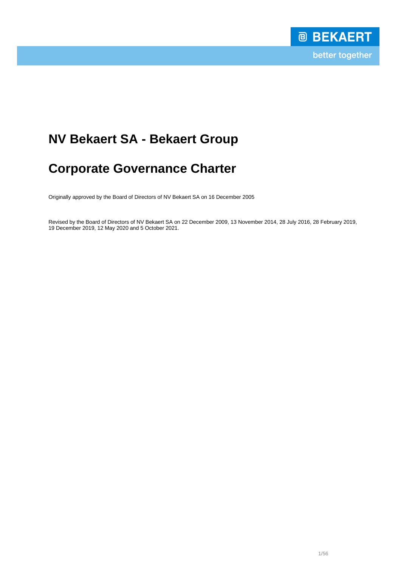# **NV Bekaert SA - Bekaert Group**

# **Corporate Governance Charter**

Originally approved by the Board of Directors of NV Bekaert SA on 16 December 2005

Revised by the Board of Directors of NV Bekaert SA on 22 December 2009, 13 November 2014, 28 July 2016, 28 February 2019, 19 December 2019, 12 May 2020 and 5 October 2021.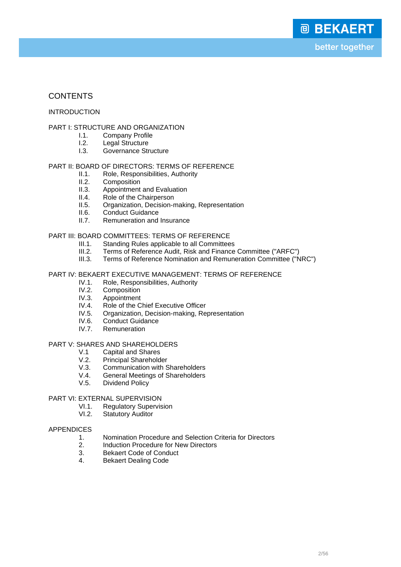# **CONTENTS**

## INTRODUCTION

## PART I: STRUCTURE AND ORGANIZATION

- I.1. Company Profile<br>I.2. Legal Structure
- **I.2.** Legal Structure<br>**I.3.** Governance Str
- Governance Structure

# PART II: BOARD OF DIRECTORS: TERMS OF REFERENCE<br>II.1. Role, Responsibilities, Authority

- II.1. Role, Responsibilities, Authority<br>II.2. Composition
- II.2. Composition<br>II.3. Appointment
- II.3. Appointment and Evaluation<br>II.4. Role of the Chairnerson
- II.4. Role of the Chairperson<br>II.5. Organization, Decision-r
- II.5. Organization, Decision-making, Representation<br>II.6. Conduct Guidance
- **II.6.** Conduct Guidance<br>II.7 Remuneration and
- Remuneration and Insurance

## PART III: BOARD COMMITTEES: TERMS OF REFERENCE

- III.1. Standing Rules applicable to all Committees
- III.2. Terms of Reference Audit, Risk and Finance Committee ("ARFC")
- III.3. Terms of Reference Nomination and Remuneration Committee ("NRC")

## PART IV: BEKAERT EXECUTIVE MANAGEMENT: TERMS OF REFERENCE

- IV.1. Role, Responsibilities, Authority<br>IV.2. Composition
- IV.2. Composition<br>IV.3. Appointment
- IV.3. Appointment<br>IV.4. Role of the C
- IV.4. Role of the Chief Executive Officer<br>IV.5. Organization, Decision-making, Re
- IV.5. Organization, Decision-making, Representation<br>IV.6. Conduct Guidance
- Conduct Guidance
- IV.7. Remuneration

#### PART V: SHARES AND SHAREHOLDERS

- V.1 Capital and Shares<br>V.2 Principal Sharehold
- V.2. Principal Shareholder<br>V.3. Communication with S
- Communication with Shareholders
- V.4. General Meetings of Shareholders<br>V.5. Dividend Policy
- Dividend Policy

## PART VI: EXTERNAL SUPERVISION

- VI.1. Regulatory Supervision
- VI.2. Statutory Auditor

#### APPENDICES

- 1. Nomination Procedure and Selection Criteria for Directors
- 2. Induction Procedure for New Directors<br>3. Bekaert Code of Conduct
- 3. Bekaert Code of Conduct<br>4. Bekaert Dealing Code
- 4. Bekaert Dealing Code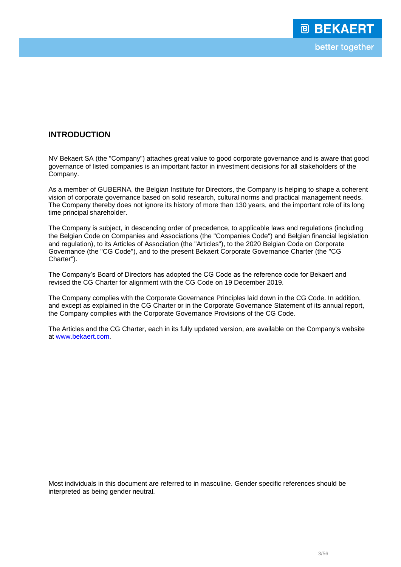# **INTRODUCTION**

NV Bekaert SA (the "Company") attaches great value to good corporate governance and is aware that good governance of listed companies is an important factor in investment decisions for all stakeholders of the Company.

As a member of GUBERNA, the Belgian Institute for Directors, the Company is helping to shape a coherent vision of corporate governance based on solid research, cultural norms and practical management needs. The Company thereby does not ignore its history of more than 130 years, and the important role of its long time principal shareholder.

The Company is subject, in descending order of precedence, to applicable laws and regulations (including the Belgian Code on Companies and Associations (the "Companies Code") and Belgian financial legislation and regulation), to its Articles of Association (the "Articles"), to the 2020 Belgian Code on Corporate Governance (the "CG Code"), and to the present Bekaert Corporate Governance Charter (the "CG Charter").

The Company's Board of Directors has adopted the CG Code as the reference code for Bekaert and revised the CG Charter for alignment with the CG Code on 19 December 2019.

The Company complies with the Corporate Governance Principles laid down in the CG Code. In addition, and except as explained in the CG Charter or in the Corporate Governance Statement of its annual report, the Company complies with the Corporate Governance Provisions of the CG Code.

The Articles and the CG Charter, each in its fully updated version, are available on the Company's website at www.bekaert.com.

Most individuals in this document are referred to in masculine. Gender specific references should be interpreted as being gender neutral.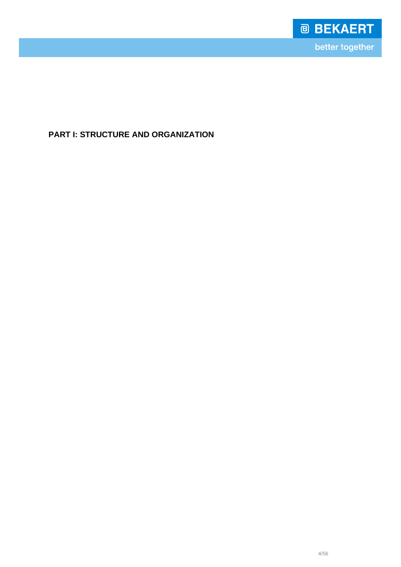

**PART I: STRUCTURE AND ORGANIZATION**